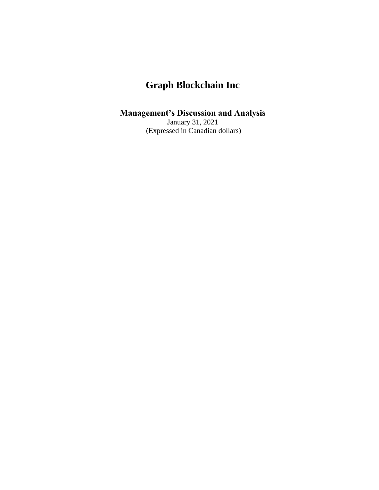### **Management's Discussion and Analysis**

January 31, 2021 (Expressed in Canadian dollars)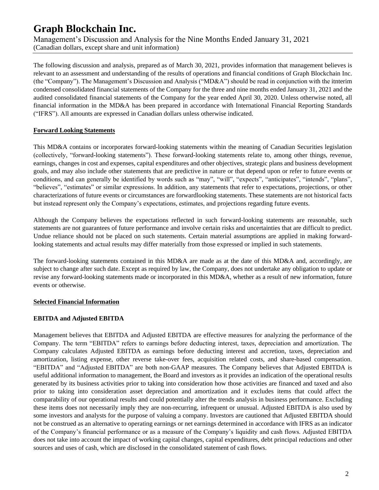Management's Discussion and Analysis for the Nine Months Ended January 31, 2021 (Canadian dollars, except share and unit information)

The following discussion and analysis, prepared as of March 30, 2021, provides information that management believes is relevant to an assessment and understanding of the results of operations and financial conditions of Graph Blockchain Inc. (the "Company"). The Management's Discussion and Analysis ("MD&A") should be read in conjunction with the itnterim condensed consolidated financial statements of the Company for the three and nine months ended January 31, 2021 and the audited consolidated financial statements of the Company for the year ended April 30, 2020. Unless otherwise noted, all financial information in the MD&A has been prepared in accordance with International Financial Reporting Standards ("IFRS"). All amounts are expressed in Canadian dollars unless otherwise indicated.

#### **Forward Looking Statements**

This MD&A contains or incorporates forward-looking statements within the meaning of Canadian Securities legislation (collectively, "forward-looking statements"). These forward-looking statements relate to, among other things, revenue, earnings, changes in cost and expenses, capital expenditures and other objectives, strategic plans and business development goals, and may also include other statements that are predictive in nature or that depend upon or refer to future events or conditions, and can generally be identified by words such as "may", "will", "expects", "anticipates", "intends", "plans", "believes", "estimates" or similar expressions. In addition, any statements that refer to expectations, projections, or other characterizations of future events or circumstances are forwardlooking statements. These statements are not historical facts but instead represent only the Company's expectations, estimates, and projections regarding future events.

Although the Company believes the expectations reflected in such forward-looking statements are reasonable, such statements are not guarantees of future performance and involve certain risks and uncertainties that are difficult to predict. Undue reliance should not be placed on such statements. Certain material assumptions are applied in making forwardlooking statements and actual results may differ materially from those expressed or implied in such statements.

The forward-looking statements contained in this MD&A are made as at the date of this MD&A and, accordingly, are subject to change after such date. Except as required by law, the Company, does not undertake any obligation to update or revise any forward-looking statements made or incorporated in this MD&A, whether as a result of new information, future events or otherwise.

#### **Selected Financial Information**

### **EBITDA and Adjusted EBITDA**

Management believes that EBITDA and Adjusted EBITDA are effective measures for analyzing the performance of the Company. The term "EBITDA" refers to earnings before deducting interest, taxes, depreciation and amortization. The Company calculates Adjusted EBITDA as earnings before deducting interest and accretion, taxes, depreciation and amortization, listing expense, other reverse take-over fees, acquisition related costs, and share-based compensation. "EBITDA" and "Adjusted EBITDA" are both non-GAAP measures. The Company believes that Adjusted EBITDA is useful additional information to management, the Board and investors as it provides an indication of the operational results generated by its business activities prior to taking into consideration how those activities are financed and taxed and also prior to taking into consideration asset depreciation and amortization and it excludes items that could affect the comparability of our operational results and could potentially alter the trends analysis in business performance. Excluding these items does not necessarily imply they are non-recurring, infrequent or unusual. Adjusted EBITDA is also used by some investors and analysts for the purpose of valuing a company. Investors are cautioned that Adjusted EBITDA should not be construed as an alternative to operating earnings or net earnings determined in accordance with IFRS as an indicator of the Company's financial performance or as a measure of the Company's liquidity and cash flows. Adjusted EBITDA does not take into account the impact of working capital changes, capital expenditures, debt principal reductions and other sources and uses of cash, which are disclosed in the consolidated statement of cash flows.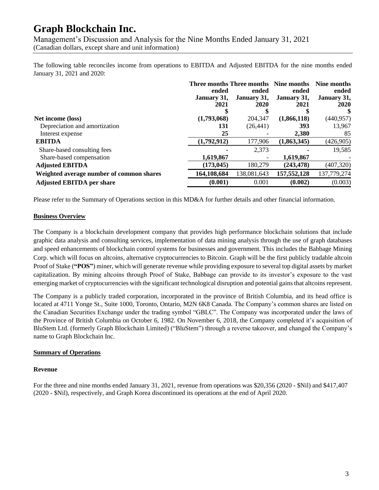Management's Discussion and Analysis for the Nine Months Ended January 31, 2021 (Canadian dollars, except share and unit information)

The following table reconciles income from operations to EBITDA and Adjusted EBITDA for the nine months ended January 31, 2021 and 2020:

|                                          | Three months Three months Nine months |             |               | Nine months |
|------------------------------------------|---------------------------------------|-------------|---------------|-------------|
|                                          | ended                                 | ended       | ended         | ended       |
|                                          | January 31,                           | January 31, | January 31,   | January 31, |
|                                          | 2021                                  | 2020        | 2021          | <b>2020</b> |
|                                          |                                       |             |               |             |
| Net income (loss)                        | (1,793,068)                           | 204,347     | (1,866,118)   | (440, 957)  |
| Depreciation and amortization            | 131                                   | (26, 441)   | 393           | 13,967      |
| Interest expense                         | 25                                    |             | 2,380         | 85          |
| <b>EBITDA</b>                            | (1,792,912)                           | 177,906     | (1,863,345)   | (426, 905)  |
| Share-based consulting fees              |                                       | 2,373       |               | 19,585      |
| Share-based compensation                 | 1,619,867                             |             | 1,619,867     |             |
| <b>Adjusted EBITDA</b>                   | (173, 045)                            | 180,279     | (243, 478)    | (407, 320)  |
| Weighted average number of common shares | 164,108,684                           | 138,081,643 | 157, 552, 128 | 137,779,274 |
| <b>Adjusted EBITDA per share</b>         | (0.001)                               | 0.001       | (0.002)       | (0.003)     |

Please refer to the Summary of Operations section in this MD&A for further details and other financial information.

#### **Business Overview**

The Company is a blockchain development company that provides high performance blockchain solutions that include graphic data analysis and consulting services, implementation of data mining analysis through the use of graph databases and speed enhancements of blockchain control systems for businesses and government. This includes the Babbage Mining Corp. which will focus on altcoins, alternative cryptocurrencies to Bitcoin. Graph will be the first publicly tradable altcoin Proof of Stake (**"POS"**) miner, which will generate revenue while providing exposure to several top digital assets by market capitalization. By mining altcoins through Proof of Stake, Babbage can provide to its investor's exposure to the vast emerging market of cryptocurrencies with the significant technological disruption and potential gains that altcoins represent.

The Company is a publicly traded corporation, incorporated in the province of British Columbia, and its head office is located at 4711 Yonge St., Suite 1000, Toronto, Ontario, M2N 6K8 Canada. The Company's common shares are listed on the Canadian Securities Exchange under the trading symbol "GBLC". The Company was incorporated under the laws of the Province of British Columbia on October 6, 1982. On November 6, 2018, the Company completed it's acquisition of BluStem Ltd. (formerly Graph Blockchain Limited) ("BluStem") through a reverse takeover, and changed the Company's name to Graph Blockchain Inc.

### **Summary of Operations**

#### **Revenue**

For the three and nine months ended January 31, 2021, revenue from operations was \$20,356 (2020 - \$Nil) and \$417,407 (2020 - \$Nil), respectively, and Graph Korea discontinued its operations at the end of April 2020.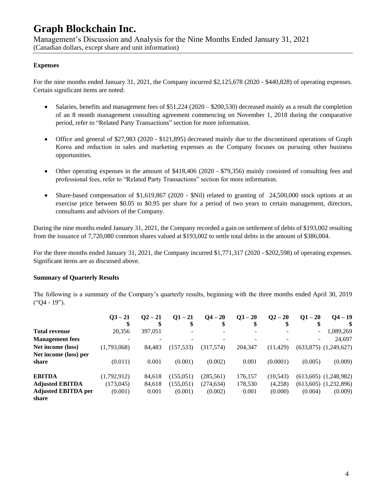Management's Discussion and Analysis for the Nine Months Ended January 31, 2021 (Canadian dollars, except share and unit information)

#### **Expenses**

For the nine months ended January 31, 2021, the Company incurred \$2,125,678 (2020 - \$440,828) of operating expenses. Certain significant items are noted:

- Salaries, benefits and management fees of  $$51,224 (2020 $200,530)$  decreased mainly as a result the completion of an 8 month management consulting agreement commencing on November 1, 2018 during the comparative period, refer to "Related Party Transactions" section for more information.
- Office and general of \$27,983 (2020 \$121,895) decreased mainly due to the discontinued operations of Graph Korea and reduction in sales and marketing expenses as the Company focuses on pursuing other business opportunities.
- Other operating expenses in the amount of \$418,406 (2020 \$79,356) mainly consisted of consulting fees and professional fees, refer to "Related Party Transactions" section for more information.
- Share-based compensation of \$1,619,867 (2020 \$Nil) related to granting of 24,500,000 stock options at an exercise price between \$0.05 to \$0.95 per share for a period of two years to certain management, directors, consultants and advisors of the Company.

During the nine months ended January 31, 2021, the Company recorded a gain on settlement of debts of \$193,002 resulting from the issuance of 7,720,080 common shares valued at \$193,002 to settle total debts in the amount of \$386,004.

For the three months ended January 31, 2021, the Company incurred \$1,771,317 (2020 - \$202,598) of operating expenses. Significant items are as discussed above.

#### **Summary of Quarterly Results**

The following is a summary of the Company's quarterly results, beginning with the three months ended April 30, 2019 ("Q4 - 19").

|                            | $03 - 21$   | $O2 - 21$ | $Q1 - 21$  | $Q_4 - 20$ | $Q_{}^3 - 20$ | $Q2 - 20$ | $Q1 - 20$ | $Q_4 - 19$                |
|----------------------------|-------------|-----------|------------|------------|---------------|-----------|-----------|---------------------------|
|                            |             |           |            |            | \$            |           |           |                           |
| <b>Total revenue</b>       | 20,356      | 397,051   |            |            |               |           |           | 1,089,269                 |
| <b>Management</b> fees     |             |           |            |            |               |           |           | 24,697                    |
| Net income (loss)          | (1,793,068) | 84.483    | (157, 533) | (317,574)  | 204,347       | (11, 429) |           | $(633,875)$ $(1,249,627)$ |
| Net income (loss) per      |             |           |            |            |               |           |           |                           |
| share                      | (0.011)     | 0.001     | (0.001)    | (0.002)    | 0.001         | (0.0001)  | (0.005)   | (0.009)                   |
| <b>EBITDA</b>              | (1,792,912) | 84.618    | (155,051)  | (285, 561) | 176,157       | (10, 543) |           | $(613,605)$ $(1,248,982)$ |
| <b>Adjusted EBITDA</b>     | (173, 045)  | 84.618    | (155,051)  | (274, 634) | 178,530       | (4,258)   |           | $(613,605)$ $(1,232,896)$ |
| <b>Adjusted EBITDA per</b> | (0.001)     | 0.001     | (0.001)    | (0.002)    | 0.001         | (0.000)   | (0.004)   | (0.009)                   |
| share                      |             |           |            |            |               |           |           |                           |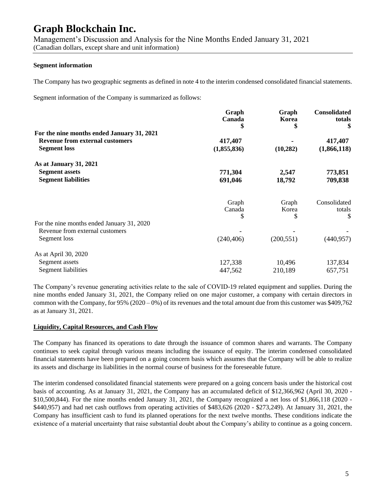Management's Discussion and Analysis for the Nine Months Ended January 31, 2021 (Canadian dollars, except share and unit information)

#### **Segment information**

The Company has two geographic segments as defined in note 4 to the interim condensed consolidated financial statements.

Segment information of the Company is summarized as follows:

|                                            | Graph<br>Canada<br>\$ | Graph<br>Korea<br>\$ | <b>Consolidated</b><br>totals |  |
|--------------------------------------------|-----------------------|----------------------|-------------------------------|--|
| For the nine months ended January 31, 2021 |                       |                      |                               |  |
| <b>Revenue from external customers</b>     | 417,407               |                      | 417,407                       |  |
| <b>Segment loss</b>                        | (1,855,836)           | (10, 282)            | (1,866,118)                   |  |
| As at January 31, 2021                     |                       |                      |                               |  |
| <b>Segment assets</b>                      | 771,304               | 2,547                | 773,851                       |  |
| <b>Segment liabilities</b>                 | 691,046               | 18,792               | 709,838                       |  |
|                                            | Graph                 | Graph                | Consolidated                  |  |
|                                            | Canada                | Korea                | totals                        |  |
|                                            | S                     | \$                   | \$                            |  |
| For the nine months ended January 31, 2020 |                       |                      |                               |  |
| Revenue from external customers            |                       |                      |                               |  |
| Segment loss                               | (240, 406)            | (200, 551)           | (440, 957)                    |  |
| As at April 30, 2020                       |                       |                      |                               |  |
| Segment assets                             | 127,338               | 10,496               | 137,834                       |  |
| Segment liabilities                        | 447,562               | 210,189              | 657,751                       |  |

The Company's revenue generating activities relate to the sale of COVID-19 related equipment and supplies. During the nine months ended January 31, 2021, the Company relied on one major customer, a company with certain directors in common with the Company, for 95% (2020 – 0%) of its revenues and the total amount due from this customer was \$409,762 as at January 31, 2021.

#### **Liquidity, Capital Resources, and Cash Flow**

The Company has financed its operations to date through the issuance of common shares and warrants. The Company continues to seek capital through various means including the issuance of equity. The interim condensed consolidated financial statements have been prepared on a going concern basis which assumes that the Company will be able to realize its assets and discharge its liabilities in the normal course of business for the foreseeable future.

The interim condensed consolidated financial statements were prepared on a going concern basis under the historical cost basis of accounting. As at January 31, 2021, the Company has an accumulated deficit of \$12,366,962 (April 30, 2020 - \$10,500,844). For the nine months ended January 31, 2021, the Company recognized a net loss of \$1,866,118 (2020 - \$440,957) and had net cash outflows from operating activities of \$483,626 (2020 - \$273,249). At January 31, 2021, the Company has insufficient cash to fund its planned operations for the next twelve months. These conditions indicate the existence of a material uncertainty that raise substantial doubt about the Company's ability to continue as a going concern.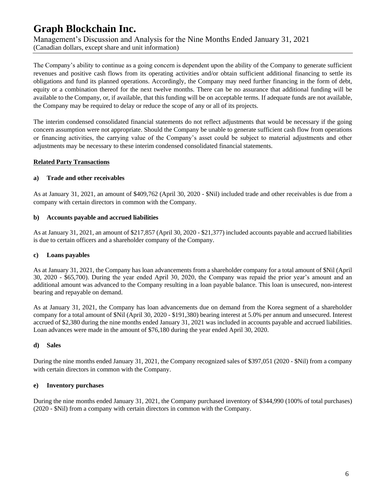Management's Discussion and Analysis for the Nine Months Ended January 31, 2021 (Canadian dollars, except share and unit information)

The Company's ability to continue as a going concern is dependent upon the ability of the Company to generate sufficient revenues and positive cash flows from its operating activities and/or obtain sufficient additional financing to settle its obligations and fund its planned operations. Accordingly, the Company may need further financing in the form of debt, equity or a combination thereof for the next twelve months. There can be no assurance that additional funding will be available to the Company, or, if available, that this funding will be on acceptable terms. If adequate funds are not available, the Company may be required to delay or reduce the scope of any or all of its projects.

The interim condensed consolidated financial statements do not reflect adjustments that would be necessary if the going concern assumption were not appropriate. Should the Company be unable to generate sufficient cash flow from operations or financing activities, the carrying value of the Company's asset could be subject to material adjustments and other adjustments may be necessary to these interim condensed consolidated financial statements.

#### **Related Party Transactions**

#### **a) Trade and other receivables**

As at January 31, 2021, an amount of \$409,762 (April 30, 2020 - \$Nil) included trade and other receivables is due from a company with certain directors in common with the Company.

#### **b) Accounts payable and accrued liabilities**

As at January 31, 2021, an amount of \$217,857 (April 30, 2020 - \$21,377) included accounts payable and accrued liabilities is due to certain officers and a shareholder company of the Company.

### **c) Loans payables**

As at January 31, 2021, the Company has loan advancements from a shareholder company for a total amount of \$Nil (April 30, 2020 - \$65,700). During the year ended April 30, 2020, the Company was repaid the prior year's amount and an additional amount was advanced to the Company resulting in a loan payable balance. This loan is unsecured, non-interest bearing and repayable on demand.

As at January 31, 2021, the Company has loan advancements due on demand from the Korea segment of a shareholder company for a total amount of \$Nil (April 30, 2020 - \$191,380) bearing interest at 5.0% per annum and unsecured. Interest accrued of \$2,380 during the nine months ended January 31, 2021 was included in accounts payable and accrued liabilities. Loan advances were made in the amount of \$76,180 during the year ended April 30, 2020.

### **d) Sales**

During the nine months ended January 31, 2021, the Company recognized sales of \$397,051 (2020 - \$Nil) from a company with certain directors in common with the Company.

#### **e) Inventory purchases**

During the nine months ended January 31, 2021, the Company purchased inventory of \$344,990 (100% of total purchases) (2020 - \$Nil) from a company with certain directors in common with the Company.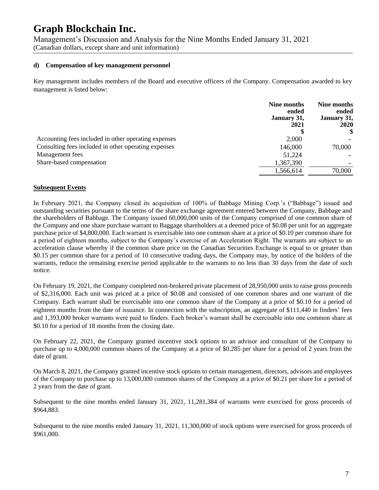Management's Discussion and Analysis for the Nine Months Ended January 31, 2021 (Canadian dollars, except share and unit information)

#### **d) Compensation of key management personnel**

Key management includes members of the Board and executive officers of the Company. Compensation awarded to key management is listed below:

|                                                      | Nine months<br>ended<br>January 31,<br>2021 | Nine months<br>ended<br>January 31,<br><b>2020</b> |
|------------------------------------------------------|---------------------------------------------|----------------------------------------------------|
| Accounting fees included in other operating expenses | 2,000                                       |                                                    |
| Consulting fees included in other operating expenses | 146,000                                     | 70,000                                             |
| Management fees                                      | 51,224                                      |                                                    |
| Share-based compensation                             | 1,367,390                                   |                                                    |
|                                                      | 1,566,614                                   | 70,000                                             |

#### **Subsequent Events**

In February 2021, the Company closed its acquisition of 100% of Babbage Mining Corp.'s ("Babbage") issued and outstanding securities pursuant to the terms of the share exchange agreement entered between the Company, Babbage and the shareholders of Babbage. The Company issued 60,000,000 units of the Company comprised of one common share of the Company and one share purchase warrant to Baggage shareholders at a deemed price of \$0.08 per unit for an aggregate purchase price of \$4,800,000. Each warrant is exercisable into one common share at a price of \$0.10 per common share for a period of eighteen months, subject to the Company's exercise of an Acceleration Right. The warrants are subject to an acceleration clause whereby if the common share price on the Canadian Securities Exchange is equal to or greater than \$0.15 per common share for a period of 10 consecutive trading days, the Company may, by notice of the holders of the warrants, reduce the remaining exercise period applicable to the warrants to no less than 30 days from the date of such notice.

On February 19, 2021, the Company completed non-brokered private placement of 28,950,000 units to raise gross proceeds of \$2,316,000. Each unit was priced at a price of \$0.08 and consisted of one common shares and one warrant of the Company. Each warrant shall be exercisable into one common share of the Company at a price of \$0.10 for a period of eighteen months from the date of issuance. In connection with the subscription, an aggregate of \$111,440 in finders' fees and 1,393,000 broker warrants were paid to finders. Each broker's warrant shall be exercisable into one common share at \$0.10 for a period of 18 months from the closing date.

On February 22, 2021, the Company granted incentive stock options to an advisor and consultant of the Company to purchase up to 4,000,000 common shares of the Company at a price of \$0.285 per share for a period of 2 years from the date of grant.

On March 8, 2021, the Company granted incentive stock options to certain management, directors, advisors and employees of the Company to purchase up to 13,000,000 common shares of the Company at a price of \$0.21 per share for a period of 2 years from the date of grant.

Subsequent to the nine months ended January 31, 2021, 11,281,384 of warrants were exercised for gross proceeds of \$964,883.

Subsequent to the nine months ended January 31, 2021, 11,300,000 of stock options were exercised for gross proceeds of \$961,000.